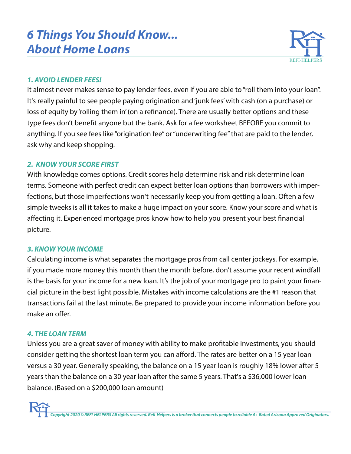# *6 Things You Should Know... About Home Loans*



## *1. AVOID LENDER FEES!*

It almost never makes sense to pay lender fees, even if you are able to "roll them into your loan". It's really painful to see people paying origination and 'junk fees' with cash (on a purchase) or loss of equity by 'rolling them in' (on a refinance). There are usually better options and these type fees don't benefit anyone but the bank. Ask for a fee worksheet BEFORE you commit to anything. If you see fees like "origination fee" or "underwriting fee" that are paid to the lender, ask why and keep shopping.

### *2. KNOW YOUR SCORE FIRST*

With knowledge comes options. Credit scores help determine risk and risk determine loan terms. Someone with perfect credit can expect better loan options than borrowers with imperfections, but those imperfections won't necessarily keep you from getting a loan. Often a few simple tweeks is all it takes to make a huge impact on your score. Know your score and what is affecting it. Experienced mortgage pros know how to help you present your best financial picture.

## *3. KNOW YOUR INCOME*

Calculating income is what separates the mortgage pros from call center jockeys. For example, if you made more money this month than the month before, don't assume your recent windfall is the basis for your income for a new loan. It's the job of your mortgage pro to paint your financial picture in the best light possible. Mistakes with income calculations are the #1 reason that transactions fail at the last minute. Be prepared to provide your income information before you make an offer.

#### *4. THE LOAN TERM*

Unless you are a great saver of money with ability to make profitable investments, you should consider getting the shortest loan term you can afford. The rates are better on a 15 year loan versus a 30 year. Generally speaking, the balance on a 15 year loan is roughly 18% lower after 5 years than the balance on a 30 year loan after the same 5 years. That's a \$36,000 lower loan balance. (Based on a \$200,000 loan amount)